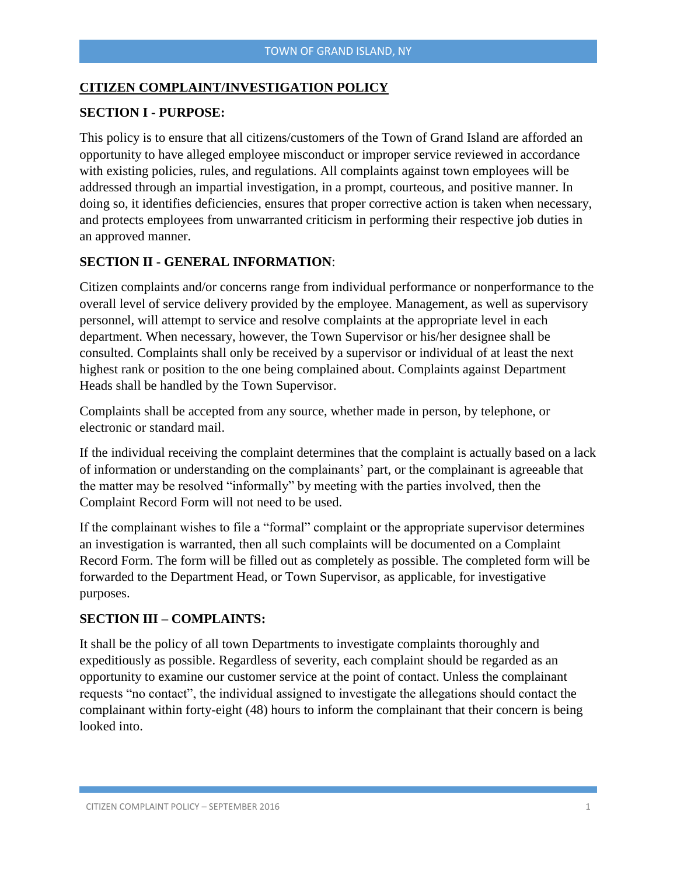#### **CITIZEN COMPLAINT/INVESTIGATION POLICY**

#### **SECTION I - PURPOSE:**

This policy is to ensure that all citizens/customers of the Town of Grand Island are afforded an opportunity to have alleged employee misconduct or improper service reviewed in accordance with existing policies, rules, and regulations. All complaints against town employees will be addressed through an impartial investigation, in a prompt, courteous, and positive manner. In doing so, it identifies deficiencies, ensures that proper corrective action is taken when necessary, and protects employees from unwarranted criticism in performing their respective job duties in an approved manner.

### **SECTION II - GENERAL INFORMATION**:

Citizen complaints and/or concerns range from individual performance or nonperformance to the overall level of service delivery provided by the employee. Management, as well as supervisory personnel, will attempt to service and resolve complaints at the appropriate level in each department. When necessary, however, the Town Supervisor or his/her designee shall be consulted. Complaints shall only be received by a supervisor or individual of at least the next highest rank or position to the one being complained about. Complaints against Department Heads shall be handled by the Town Supervisor.

Complaints shall be accepted from any source, whether made in person, by telephone, or electronic or standard mail.

If the individual receiving the complaint determines that the complaint is actually based on a lack of information or understanding on the complainants' part, or the complainant is agreeable that the matter may be resolved "informally" by meeting with the parties involved, then the Complaint Record Form will not need to be used.

If the complainant wishes to file a "formal" complaint or the appropriate supervisor determines an investigation is warranted, then all such complaints will be documented on a Complaint Record Form. The form will be filled out as completely as possible. The completed form will be forwarded to the Department Head, or Town Supervisor, as applicable, for investigative purposes.

#### **SECTION III – COMPLAINTS:**

It shall be the policy of all town Departments to investigate complaints thoroughly and expeditiously as possible. Regardless of severity, each complaint should be regarded as an opportunity to examine our customer service at the point of contact. Unless the complainant requests "no contact", the individual assigned to investigate the allegations should contact the complainant within forty-eight (48) hours to inform the complainant that their concern is being looked into.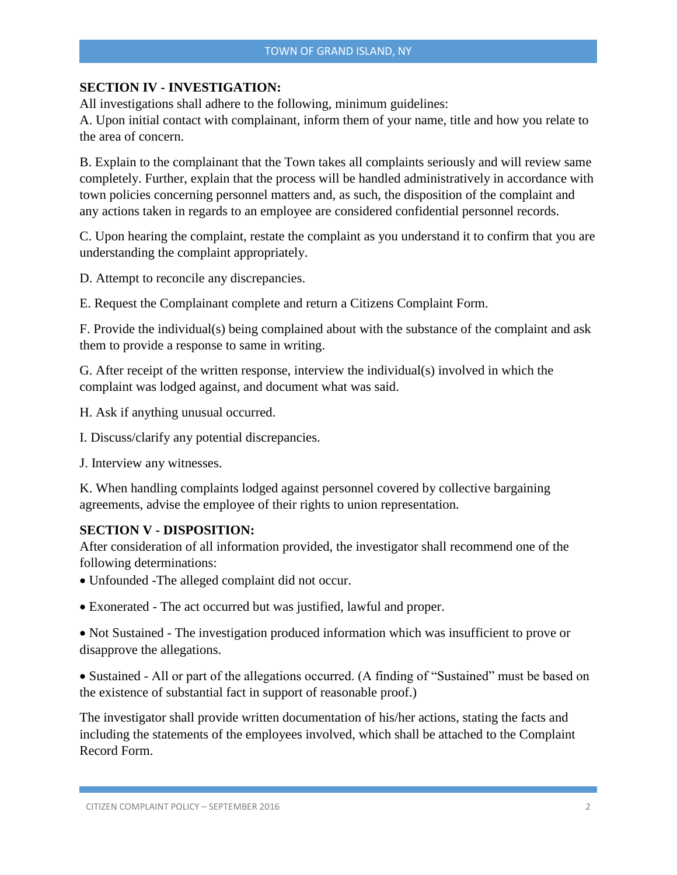#### **SECTION IV - INVESTIGATION:**

All investigations shall adhere to the following, minimum guidelines:

A. Upon initial contact with complainant, inform them of your name, title and how you relate to the area of concern.

B. Explain to the complainant that the Town takes all complaints seriously and will review same completely. Further, explain that the process will be handled administratively in accordance with town policies concerning personnel matters and, as such, the disposition of the complaint and any actions taken in regards to an employee are considered confidential personnel records.

C. Upon hearing the complaint, restate the complaint as you understand it to confirm that you are understanding the complaint appropriately.

D. Attempt to reconcile any discrepancies.

E. Request the Complainant complete and return a Citizens Complaint Form.

F. Provide the individual(s) being complained about with the substance of the complaint and ask them to provide a response to same in writing.

G. After receipt of the written response, interview the individual(s) involved in which the complaint was lodged against, and document what was said.

H. Ask if anything unusual occurred.

I. Discuss/clarify any potential discrepancies.

J. Interview any witnesses.

K. When handling complaints lodged against personnel covered by collective bargaining agreements, advise the employee of their rights to union representation.

#### **SECTION V - DISPOSITION:**

After consideration of all information provided, the investigator shall recommend one of the following determinations:

Unfounded -The alleged complaint did not occur.

Exonerated - The act occurred but was justified, lawful and proper.

• Not Sustained - The investigation produced information which was insufficient to prove or disapprove the allegations.

• Sustained - All or part of the allegations occurred. (A finding of "Sustained" must be based on the existence of substantial fact in support of reasonable proof.)

The investigator shall provide written documentation of his/her actions, stating the facts and including the statements of the employees involved, which shall be attached to the Complaint Record Form.